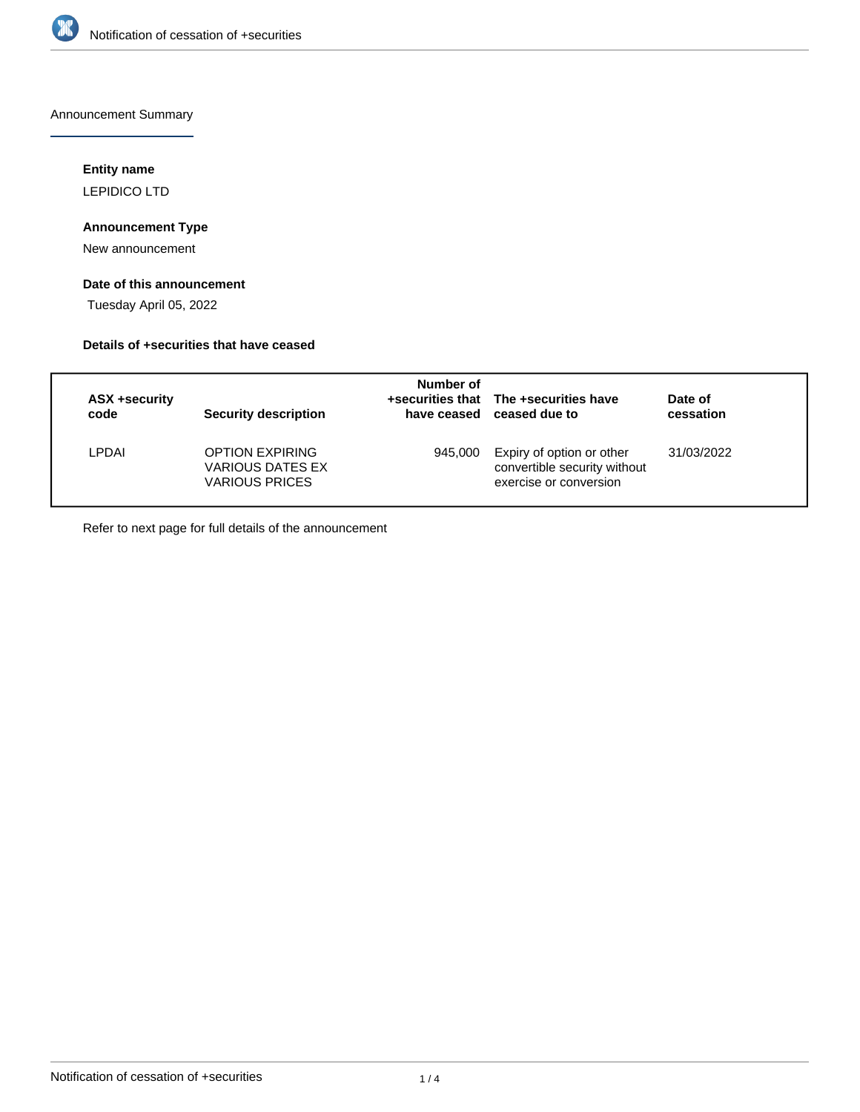

Announcement Summary

## **Entity name**

LEPIDICO LTD

## **Announcement Type**

New announcement

# **Date of this announcement**

Tuesday April 05, 2022

## **Details of +securities that have ceased**

| ASX +security<br>code | <b>Security description</b>                                         | Number of | +securities that The +securities have<br>have ceased ceased due to                  | Date of<br>cessation |
|-----------------------|---------------------------------------------------------------------|-----------|-------------------------------------------------------------------------------------|----------------------|
| LPDAI                 | <b>OPTION EXPIRING</b><br>VARIOUS DATES EX<br><b>VARIOUS PRICES</b> | 945.000   | Expiry of option or other<br>convertible security without<br>exercise or conversion | 31/03/2022           |

Refer to next page for full details of the announcement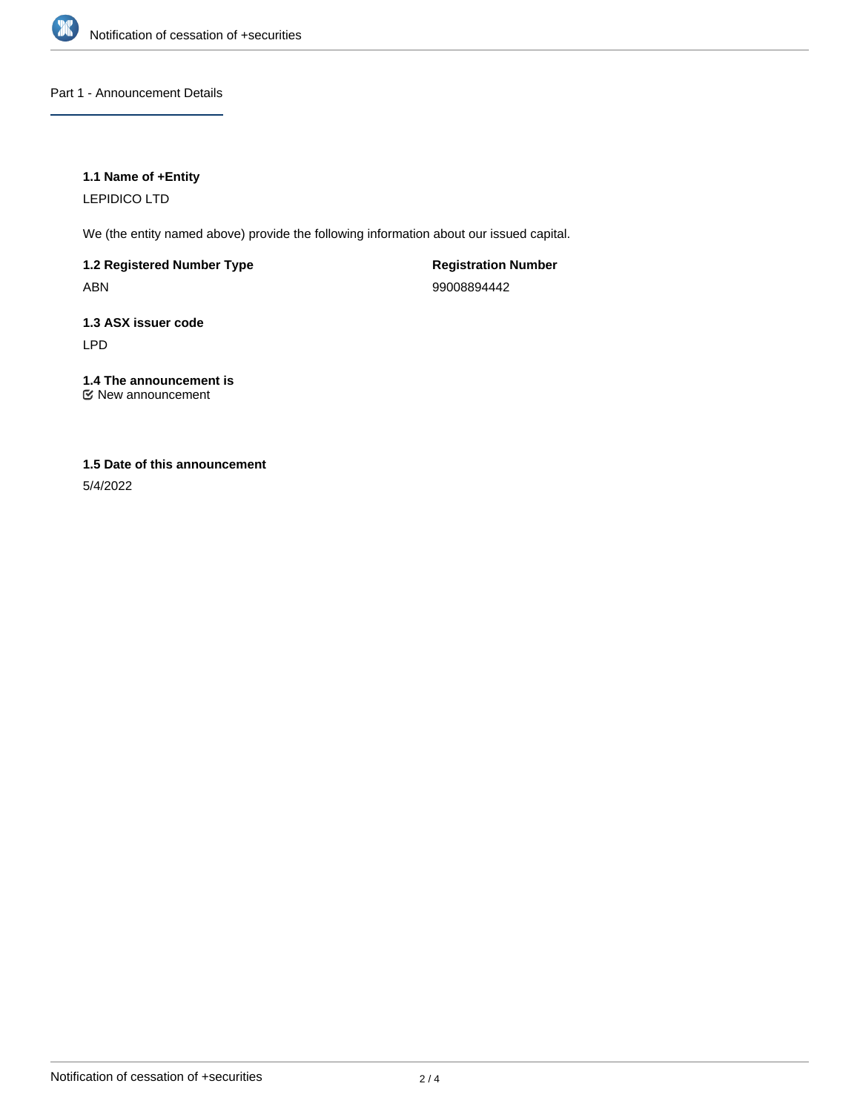

Part 1 - Announcement Details

## **1.1 Name of +Entity**

LEPIDICO LTD

We (the entity named above) provide the following information about our issued capital.

**1.2 Registered Number Type** ABN

**Registration Number** 99008894442

**1.3 ASX issuer code** LPD

**1.4 The announcement is** New announcement

## **1.5 Date of this announcement**

5/4/2022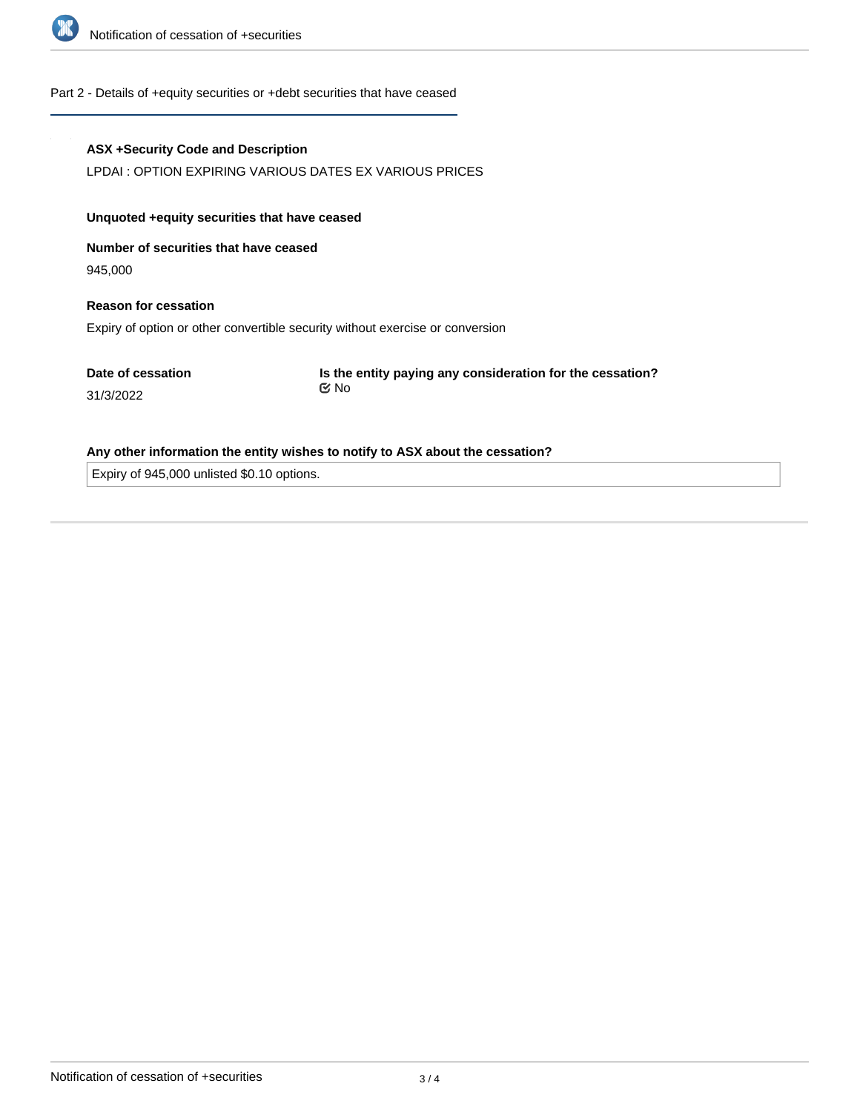

#### Part 2 - Details of +equity securities or +debt securities that have ceased

#### **ASX +Security Code and Description**

LPDAI : OPTION EXPIRING VARIOUS DATES EX VARIOUS PRICES

#### **Unquoted +equity securities that have ceased**

**Number of securities that have ceased**

945,000

# **Reason for cessation** Expiry of option or other convertible security without exercise or conversion

**Date of cessation**

31/3/2022

**Is the entity paying any consideration for the cessation?** No

#### **Any other information the entity wishes to notify to ASX about the cessation?**

Expiry of 945,000 unlisted \$0.10 options.